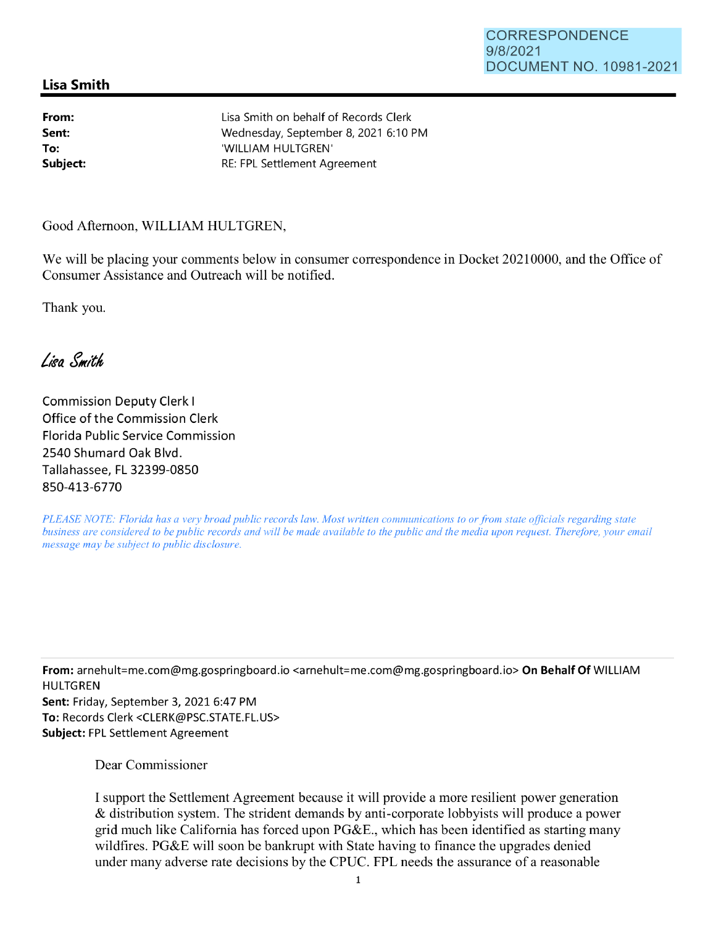## **Lisa Smith**

**From: Sent: To: Subject:**  Lisa Smith on behalf of Records Clerk Wednesday, September 8, 2021 6:10 PM 'WILLIAM HULTGREN' RE: FPL Settlement Agreement

Good Afternoon, WILLIAM HULTGREN,

We will be placing your comments below in consumer correspondence in Docket 20210000, and the Office of Consumer Assistance and Outreach will be notified.

Thank you.

Lisa Smith

Commission Deputy Clerk I Office of the Commission Clerk Florida Public Service Commission 2540 Shumard Oak Blvd. Tallahassee, FL 32399-0850 850-413-6770

*PLEASE NOTE: Florida has a very broad public records law. Most written communications to or from state officials regarding state business are considered to be public records and will be made available to the public and the media upon request. Therefore, your email message may be subject to public disclosure.* 

**From:** arnehult=me.com@mg.gospringboard.io <arnehult=me.com@mg.gospringboard.io> **On Behalf Of** WILLIAM HULTGREN

**Sent:** Friday, September 3, 2021 6:47 PM **To:** Records Clerk <CLERK@PSC.STATE.FL.US> **Subject:** FPL Settlement Agreement

Dear Commissioner

I support the Settlement Agreement because it will provide a more resilient power generation & distribution system. The strident demands by anti-corporate lobbyists will produce a power grid much like California has forced upon PG&E., which has been identified as starting many wildfires. PG&E will soon be bankrupt with State having to finance the upgrades denied under many adverse rate decisions by the CPUC. FPL needs the assurance of a reasonable